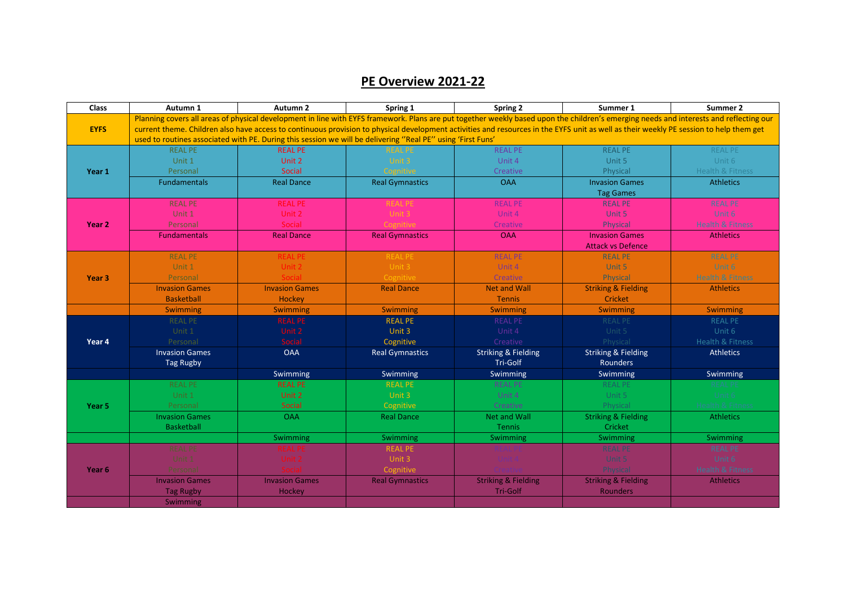## **PE Overview 2021-22**

| <b>Class</b>      | Autumn 1                                                                                                                                                                               | Autumn <sub>2</sub>   | Spring 1                                                                                                                                                                               | Spring 2                       | Summer 1                       | Summer 2                    |
|-------------------|----------------------------------------------------------------------------------------------------------------------------------------------------------------------------------------|-----------------------|----------------------------------------------------------------------------------------------------------------------------------------------------------------------------------------|--------------------------------|--------------------------------|-----------------------------|
|                   |                                                                                                                                                                                        |                       | Planning covers all areas of physical development in line with EYFS framework. Plans are put together weekly based upon the children's emerging needs and interests and reflecting our |                                |                                |                             |
| <b>EYFS</b>       | current theme. Children also have access to continuous provision to physical development activities and resources in the EYFS unit as well as their weekly PE session to help them get |                       |                                                                                                                                                                                        |                                |                                |                             |
|                   | used to routines associated with PE. During this session we will be delivering "Real PE" using 'First Funs'                                                                            |                       |                                                                                                                                                                                        |                                |                                |                             |
| Year 1            | <b>REAL PE</b>                                                                                                                                                                         | <b>REAL PE</b>        | <b>REAL PE</b>                                                                                                                                                                         | <b>REAL PE</b>                 | <b>REAL PE</b>                 | <b>REAL PE</b>              |
|                   | Unit 1                                                                                                                                                                                 | Unit 2                | Unit 3                                                                                                                                                                                 | Unit 4                         | Unit 5                         | Unit 6                      |
|                   | Personal                                                                                                                                                                               | Social                | Cognitive                                                                                                                                                                              | Creative                       | Physical                       | <b>Health &amp; Fitness</b> |
|                   | <b>Fundamentals</b>                                                                                                                                                                    | <b>Real Dance</b>     | <b>Real Gymnastics</b>                                                                                                                                                                 | <b>OAA</b>                     | <b>Invasion Games</b>          | <b>Athletics</b>            |
|                   |                                                                                                                                                                                        |                       |                                                                                                                                                                                        |                                | <b>Tag Games</b>               |                             |
| Year 2            | <b>REAL PE</b>                                                                                                                                                                         | <b>REAL PE</b>        | <b>REAL PE</b>                                                                                                                                                                         | <b>REAL PE</b>                 | <b>REAL PE</b>                 | <b>REAL PE</b>              |
|                   | Unit 1                                                                                                                                                                                 | Unit 2                | Unit 3                                                                                                                                                                                 | Unit 4                         | Unit 5                         | Unit 6                      |
|                   | Personal                                                                                                                                                                               | Social                | Cognitive                                                                                                                                                                              | Creative                       | Physical                       | <b>Health &amp; Fitness</b> |
|                   | <b>Fundamentals</b>                                                                                                                                                                    | <b>Real Dance</b>     | <b>Real Gymnastics</b>                                                                                                                                                                 | <b>OAA</b>                     | <b>Invasion Games</b>          | <b>Athletics</b>            |
|                   |                                                                                                                                                                                        |                       |                                                                                                                                                                                        |                                | <b>Attack vs Defence</b>       |                             |
| Year <sub>3</sub> | <b>REAL PE</b>                                                                                                                                                                         | <b>REAL PE</b>        | <b>REAL PE</b>                                                                                                                                                                         | <b>REAL PE</b>                 | <b>REAL PE</b>                 | <b>REAL PE</b>              |
|                   | Unit 1                                                                                                                                                                                 | Unit 2                | Unit 3                                                                                                                                                                                 | Unit 4                         | Unit 5                         | Unit 6                      |
|                   | Personal                                                                                                                                                                               | Social                | Cognitive                                                                                                                                                                              | <b>Creative</b>                | Physical                       | <b>Health &amp; Fitness</b> |
|                   | <b>Invasion Games</b>                                                                                                                                                                  | <b>Invasion Games</b> | <b>Real Dance</b>                                                                                                                                                                      | <b>Net and Wall</b>            | <b>Striking &amp; Fielding</b> | <b>Athletics</b>            |
|                   | <b>Basketball</b>                                                                                                                                                                      | Hockey                |                                                                                                                                                                                        | Tennis                         | Cricket                        |                             |
|                   | Swimming                                                                                                                                                                               | Swimming              | <b>Swimming</b>                                                                                                                                                                        | Swimming                       | Swimming                       | Swimming                    |
| Year 4            | <b>REAL PE</b>                                                                                                                                                                         | <b>REAL PE</b>        | <b>REAL PE</b>                                                                                                                                                                         | <b>REAL PE</b>                 | <b>REAL PE</b>                 | <b>REAL PE</b>              |
|                   | Unit 1                                                                                                                                                                                 | Unit 2                | Unit 3                                                                                                                                                                                 | Unit 4                         | Unit 5                         | Unit 6                      |
|                   | Personal                                                                                                                                                                               | Social                | Cognitive                                                                                                                                                                              | Creative                       | Physical                       | <b>Health &amp; Fitness</b> |
|                   | <b>Invasion Games</b>                                                                                                                                                                  | <b>OAA</b>            | <b>Real Gymnastics</b>                                                                                                                                                                 | <b>Striking &amp; Fielding</b> | <b>Striking &amp; Fielding</b> | <b>Athletics</b>            |
|                   | <b>Tag Rugby</b>                                                                                                                                                                       |                       |                                                                                                                                                                                        | <b>Tri-Golf</b>                | Rounders                       |                             |
|                   |                                                                                                                                                                                        | Swimming              | Swimming                                                                                                                                                                               | Swimming                       | Swimming                       | Swimming                    |
|                   | <b>REAL PE</b>                                                                                                                                                                         | <b>REAL PE</b>        | <b>REAL PE</b>                                                                                                                                                                         | <b>REAL PE</b>                 | <b>REAL PE</b>                 | <b>REAL PE</b>              |
| Year <sub>5</sub> | Unit 1                                                                                                                                                                                 | Unit 2                | Unit 3                                                                                                                                                                                 | Unit 4                         | Unit 5                         | Unit 6                      |
|                   | Personal                                                                                                                                                                               | Social                | Cognitive                                                                                                                                                                              | Creative                       | Physical                       | <b>Health &amp; Fitness</b> |
|                   | <b>Invasion Games</b>                                                                                                                                                                  | <b>OAA</b>            | <b>Real Dance</b>                                                                                                                                                                      | Net and Wall                   | <b>Striking &amp; Fielding</b> | <b>Athletics</b>            |
|                   | <b>Basketball</b>                                                                                                                                                                      |                       |                                                                                                                                                                                        | <b>Tennis</b>                  | Cricket                        |                             |
|                   |                                                                                                                                                                                        | Swimming              | Swimming                                                                                                                                                                               | Swimming                       | Swimming                       | Swimming                    |
|                   | <b>REAL PE</b>                                                                                                                                                                         |                       | <b>REAL PE</b>                                                                                                                                                                         |                                | <b>REAL PE</b>                 | <b>REAL PE</b>              |
| Year 6            | Unit 1                                                                                                                                                                                 |                       | Unit 3                                                                                                                                                                                 |                                | Unit 5                         | Unit 6                      |
|                   | Personal                                                                                                                                                                               |                       | Cognitive                                                                                                                                                                              |                                | Physical                       | <b>Health &amp; Fitness</b> |
|                   | <b>Invasion Games</b>                                                                                                                                                                  | <b>Invasion Games</b> | <b>Real Gymnastics</b>                                                                                                                                                                 | <b>Striking &amp; Fielding</b> | <b>Striking &amp; Fielding</b> | <b>Athletics</b>            |
|                   | <b>Tag Rugby</b>                                                                                                                                                                       | Hockey                |                                                                                                                                                                                        | Tri-Golf                       | Rounders                       |                             |
|                   | Swimming                                                                                                                                                                               |                       |                                                                                                                                                                                        |                                |                                |                             |